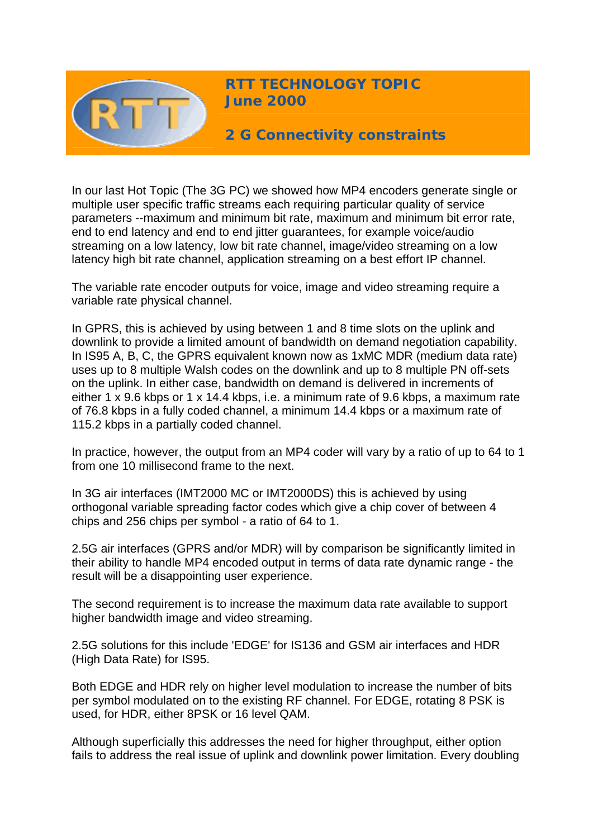

**RTT TECHNOLOGY TOPIC June 2000**

**2 G Connectivity constraints** 

In our last Hot Topic (The 3G PC) we showed how MP4 encoders generate single or multiple user specific traffic streams each requiring particular quality of service parameters --maximum and minimum bit rate, maximum and minimum bit error rate, end to end latency and end to end jitter guarantees, for example voice/audio streaming on a low latency, low bit rate channel, image/video streaming on a low latency high bit rate channel, application streaming on a best effort IP channel.

The variable rate encoder outputs for voice, image and video streaming require a variable rate physical channel.

In GPRS, this is achieved by using between 1 and 8 time slots on the uplink and downlink to provide a limited amount of bandwidth on demand negotiation capability. In IS95 A, B, C, the GPRS equivalent known now as 1xMC MDR (medium data rate) uses up to 8 multiple Walsh codes on the downlink and up to 8 multiple PN off-sets on the uplink. In either case, bandwidth on demand is delivered in increments of either 1 x 9.6 kbps or 1 x 14.4 kbps, i.e. a minimum rate of 9.6 kbps, a maximum rate of 76.8 kbps in a fully coded channel, a minimum 14.4 kbps or a maximum rate of 115.2 kbps in a partially coded channel.

In practice, however, the output from an MP4 coder will vary by a ratio of up to 64 to 1 from one 10 millisecond frame to the next.

In 3G air interfaces (IMT2000 MC or IMT2000DS) this is achieved by using orthogonal variable spreading factor codes which give a chip cover of between 4 chips and 256 chips per symbol - a ratio of 64 to 1.

2.5G air interfaces (GPRS and/or MDR) will by comparison be significantly limited in their ability to handle MP4 encoded output in terms of data rate dynamic range - the result will be a disappointing user experience.

The second requirement is to increase the maximum data rate available to support higher bandwidth image and video streaming.

2.5G solutions for this include 'EDGE' for IS136 and GSM air interfaces and HDR (High Data Rate) for IS95.

Both EDGE and HDR rely on higher level modulation to increase the number of bits per symbol modulated on to the existing RF channel. For EDGE, rotating 8 PSK is used, for HDR, either 8PSK or 16 level QAM.

Although superficially this addresses the need for higher throughput, either option fails to address the real issue of uplink and downlink power limitation. Every doubling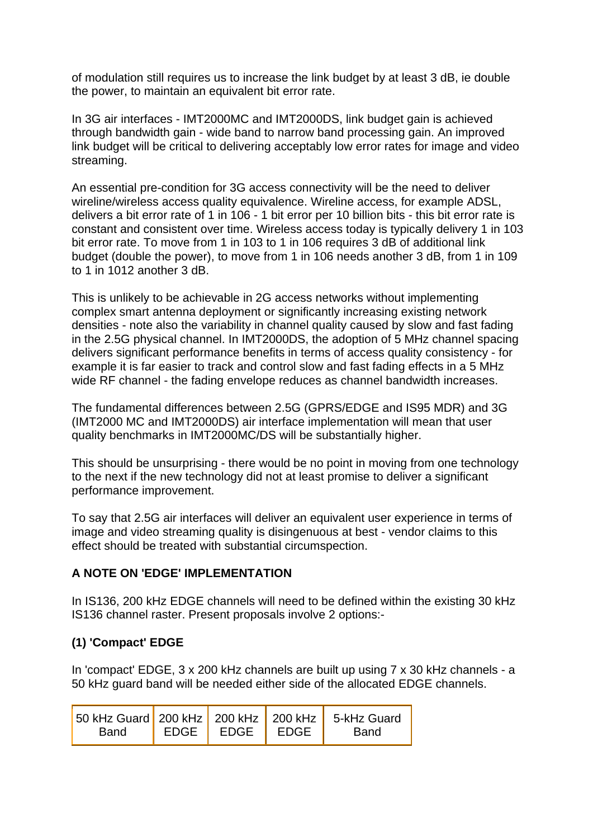of modulation still requires us to increase the link budget by at least 3 dB, ie double the power, to maintain an equivalent bit error rate.

In 3G air interfaces - IMT2000MC and IMT2000DS, link budget gain is achieved through bandwidth gain - wide band to narrow band processing gain. An improved link budget will be critical to delivering acceptably low error rates for image and video streaming.

An essential pre-condition for 3G access connectivity will be the need to deliver wireline/wireless access quality equivalence. Wireline access, for example ADSL, delivers a bit error rate of 1 in 106 - 1 bit error per 10 billion bits - this bit error rate is constant and consistent over time. Wireless access today is typically delivery 1 in 103 bit error rate. To move from 1 in 103 to 1 in 106 requires 3 dB of additional link budget (double the power), to move from 1 in 106 needs another 3 dB, from 1 in 109 to 1 in 1012 another 3 dB.

This is unlikely to be achievable in 2G access networks without implementing complex smart antenna deployment or significantly increasing existing network densities - note also the variability in channel quality caused by slow and fast fading in the 2.5G physical channel. In IMT2000DS, the adoption of 5 MHz channel spacing delivers significant performance benefits in terms of access quality consistency - for example it is far easier to track and control slow and fast fading effects in a 5 MHz wide RF channel - the fading envelope reduces as channel bandwidth increases.

The fundamental differences between 2.5G (GPRS/EDGE and IS95 MDR) and 3G (IMT2000 MC and IMT2000DS) air interface implementation will mean that user quality benchmarks in IMT2000MC/DS will be substantially higher.

This should be unsurprising - there would be no point in moving from one technology to the next if the new technology did not at least promise to deliver a significant performance improvement.

To say that 2.5G air interfaces will deliver an equivalent user experience in terms of image and video streaming quality is disingenuous at best - vendor claims to this effect should be treated with substantial circumspection.

# **A NOTE ON 'EDGE' IMPLEMENTATION**

In IS136, 200 kHz EDGE channels will need to be defined within the existing 30 kHz IS136 channel raster. Present proposals involve 2 options:-

# **(1) 'Compact' EDGE**

In 'compact' EDGE, 3 x 200 kHz channels are built up using 7 x 30 kHz channels - a 50 kHz guard band will be needed either side of the allocated EDGE channels.

| 50 kHz Guard 200 kHz 200 kHz 200 kHz 5-kHz Guard |                    |      |
|--------------------------------------------------|--------------------|------|
| Band                                             | EDGE   EDGE   EDGE | Band |